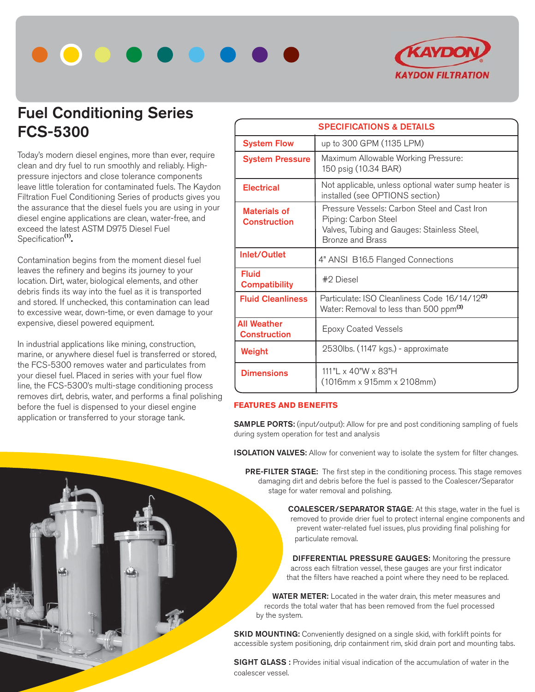



## **Fuel Conditioning Series FCS-5300**

Today's modern diesel engines, more than ever, require clean and dry fuel to run smoothly and reliably. Highpressure injectors and close tolerance components leave little toleration for contaminated fuels. The Kaydon Filtration Fuel Conditioning Series of products gives you the assurance that the diesel fuels you are using in your diesel engine applications are clean, water-free, and exceed the latest ASTM D975 Diesel Fuel Specification**(1).**

Contamination begins from the moment diesel fuel leaves the refinery and begins its journey to your location. Dirt, water, biological elements, and other debris finds its way into the fuel as it is transported and stored. If unchecked, this contamination can lead to excessive wear, down-time, or even damage to your expensive, diesel powered equipment.

In industrial applications like mining, construction, marine, or anywhere diesel fuel is transferred or stored, the FCS-5300 removes water and particulates from your diesel fuel. Placed in series with your fuel flow line, the FCS-5300's multi-stage conditioning process removes dirt, debris, water, and performs a final polishing before the fuel is dispensed to your diesel engine application or transferred to your storage tank.

| <b>SPECIFICATIONS &amp; DETAILS</b>        |                                                                                                                                                |  |  |
|--------------------------------------------|------------------------------------------------------------------------------------------------------------------------------------------------|--|--|
| <b>System Flow</b>                         | up to 300 GPM (1135 LPM)                                                                                                                       |  |  |
| <b>System Pressure</b>                     | Maximum Allowable Working Pressure:<br>150 psig (10.34 BAR)                                                                                    |  |  |
| <b>Electrical</b>                          | Not applicable, unless optional water sump heater is<br>installed (see OPTIONS section)                                                        |  |  |
| <b>Materials of</b><br><b>Construction</b> | Pressure Vessels: Carbon Steel and Cast Iron<br>Piping: Carbon Steel<br>Valves, Tubing and Gauges: Stainless Steel,<br><b>Bronze and Brass</b> |  |  |
| Inlet/Outlet                               | 4" ANSI B16.5 Flanged Connections                                                                                                              |  |  |
| <b>Fluid</b><br><b>Compatibility</b>       | #2 Diesel                                                                                                                                      |  |  |
| <b>Fluid Cleanliness</b>                   | Particulate: ISO Cleanliness Code 16/14/12 <sup>(2)</sup><br>Water: Removal to less than 500 ppm <sup>(3)</sup>                                |  |  |
| <b>All Weather</b><br><b>Construction</b>  | <b>Epoxy Coated Vessels</b>                                                                                                                    |  |  |
| Weight                                     | 2530lbs. (1147 kgs.) - approximate                                                                                                             |  |  |
| <b>Dimensions</b>                          | 111" $\vert x 40$ "W $\times$ 83"H<br>(1016mm x 915mm x 2108mm)                                                                                |  |  |

## **FEATURES AND BENEFITS**

**SAMPLE PORTS:** (input/output): Allow for pre and post conditioning sampling of fuels during system operation for test and analysis

**ISOLATION VALVES:** Allow for convenient way to isolate the system for filter changes.

 **PRE-FILTER STAGE:** The first step in the conditioning process. This stage removes damaging dirt and debris before the fuel is passed to the Coalescer/Separator stage for water removal and polishing.

> **COALESCER/SEPARATOR STAGE**: At this stage, water in the fuel is removed to provide drier fuel to protect internal engine components and prevent water-related fuel issues, plus providing final polishing for particulate removal.

 **DIFFERENTIAL PRESSURE GAUGES:** Monitoring the pressure across each filtration vessel, these gauges are your first indicator that the filters have reached a point where they need to be replaced.

 **WATER METER:** Located in the water drain, this meter measures and records the total water that has been removed from the fuel processed by the system.

**SKID MOUNTING:** Conveniently designed on a single skid, with forklift points for accessible system positioning, drip containment rim, skid drain port and mounting tabs.

**SIGHT GLASS**: Provides initial visual indication of the accumulation of water in the coalescer vessel.